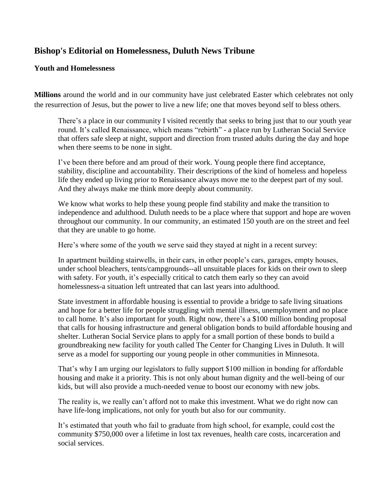## **Bishop's Editorial on Homelessness, Duluth News Tribune**

## **Youth and Homelessness**

**Millions** around the world and in our community have just celebrated Easter which celebrates not only the resurrection of Jesus, but the power to live a new life; one that moves beyond self to bless others.

There's a place in our community I visited recently that seeks to bring just that to our youth year round. It's called Renaissance, which means "rebirth" - a place run by Lutheran Social Service that offers safe sleep at night, support and direction from trusted adults during the day and hope when there seems to be none in sight.

I've been there before and am proud of their work. Young people there find acceptance, stability, discipline and accountability. Their descriptions of the kind of homeless and hopeless life they ended up living prior to Renaissance always move me to the deepest part of my soul. And they always make me think more deeply about community.

We know what works to help these young people find stability and make the transition to independence and adulthood. Duluth needs to be a place where that support and hope are woven throughout our community. In our community, an estimated 150 youth are on the street and feel that they are unable to go home.

Here's where some of the youth we serve said they stayed at night in a recent survey:

In apartment building stairwells, in their cars, in other people's cars, garages, empty houses, under school bleachers, tents/campgrounds--all unsuitable places for kids on their own to sleep with safety. For youth, it's especially critical to catch them early so they can avoid homelessness-a situation left untreated that can last years into adulthood.

State investment in affordable housing is essential to provide a bridge to safe living situations and hope for a better life for people struggling with mental illness, unemployment and no place to call home. It's also important for youth. Right now, there's a \$100 million bonding proposal that calls for housing infrastructure and general obligation bonds to build affordable housing and shelter. Lutheran Social Service plans to apply for a small portion of these bonds to build a groundbreaking new facility for youth called The Center for Changing Lives in Duluth. It will serve as a model for supporting our young people in other communities in Minnesota.

That's why I am urging our legislators to fully support \$100 million in bonding for affordable housing and make it a priority. This is not only about human dignity and the well-being of our kids, but will also provide a much-needed venue to boost our economy with new jobs.

The reality is, we really can't afford not to make this investment. What we do right now can have life-long implications, not only for youth but also for our community.

It's estimated that youth who fail to graduate from high school, for example, could cost the community \$750,000 over a lifetime in lost tax revenues, health care costs, incarceration and social services.